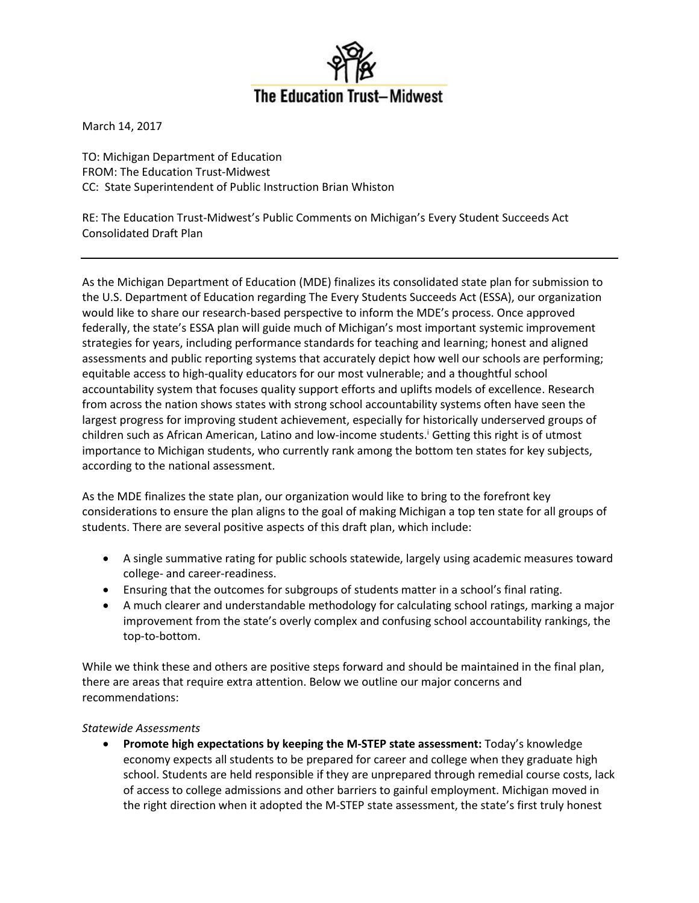

March 14, 2017

TO: Michigan Department of Education FROM: The Education Trust-Midwest CC: State Superintendent of Public Instruction Brian Whiston

RE: The Education Trust-Midwest's Public Comments on Michigan's Every Student Succeeds Act Consolidated Draft Plan

As the Michigan Department of Education (MDE) finalizes its consolidated state plan for submission to the U.S. Department of Education regarding The Every Students Succeeds Act (ESSA), our organization would like to share our research-based perspective to inform the MDE's process. Once approved federally, the state's ESSA plan will guide much of Michigan's most important systemic improvement strategies for years, including performance standards for teaching and learning; honest and aligned assessments and public reporting systems that accurately depict how well our schools are performing; equitable access to high-quality educators for our most vulnerable; and a thoughtful school accountability system that focuses quality support efforts and uplifts models of excellence. Research from across the nation shows states with strong school accountability systems often have seen the largest progress for improving student achievement, especially for historically underserved groups of children such as African American, Latino and low-income students.<sup>1</sup> Getting this right is of utmost importance to Michigan students, who currently rank among the bottom ten states for key subjects, according to the national assessment.

As the MDE finalizes the state plan, our organization would like to bring to the forefront key considerations to ensure the plan aligns to the goal of making Michigan a top ten state for all groups of students. There are several positive aspects of this draft plan, which include:

- A single summative rating for public schools statewide, largely using academic measures toward college- and career-readiness.
- Ensuring that the outcomes for subgroups of students matter in a school's final rating.
- A much clearer and understandable methodology for calculating school ratings, marking a major improvement from the state's overly complex and confusing school accountability rankings, the top-to-bottom.

While we think these and others are positive steps forward and should be maintained in the final plan, there are areas that require extra attention. Below we outline our major concerns and recommendations:

## *Statewide Assessments*

 **Promote high expectations by keeping the M-STEP state assessment:** Today's knowledge economy expects all students to be prepared for career and college when they graduate high school. Students are held responsible if they are unprepared through remedial course costs, lack of access to college admissions and other barriers to gainful employment. Michigan moved in the right direction when it adopted the M-STEP state assessment, the state's first truly honest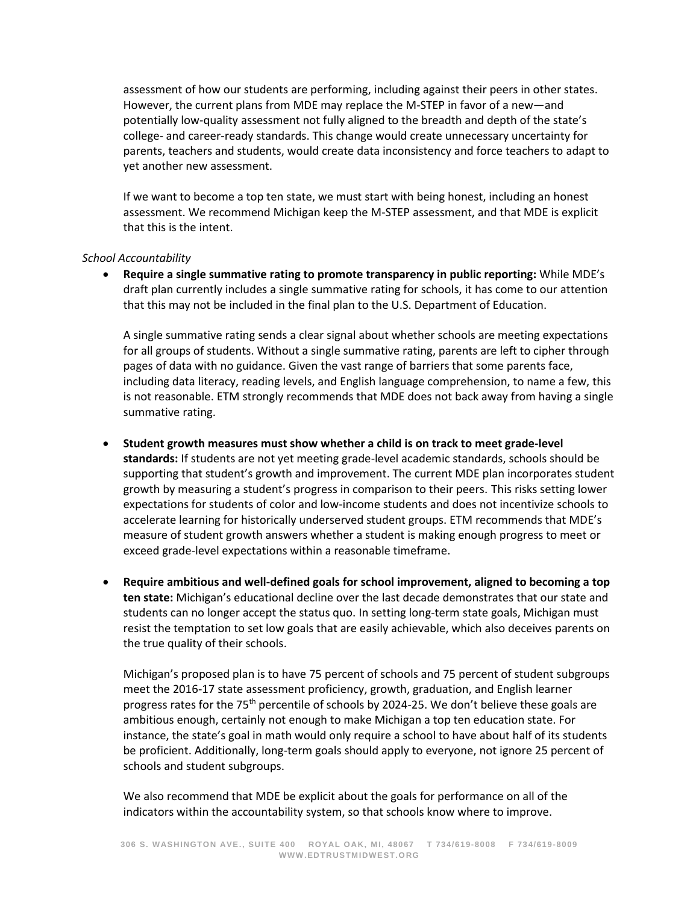assessment of how our students are performing, including against their peers in other states. However, the current plans from MDE may replace the M-STEP in favor of a new—and potentially low-quality assessment not fully aligned to the breadth and depth of the state's college- and career-ready standards. This change would create unnecessary uncertainty for parents, teachers and students, would create data inconsistency and force teachers to adapt to yet another new assessment.

If we want to become a top ten state, we must start with being honest, including an honest assessment. We recommend Michigan keep the M-STEP assessment, and that MDE is explicit that this is the intent.

## *School Accountability*

 **Require a single summative rating to promote transparency in public reporting:** While MDE's draft plan currently includes a single summative rating for schools, it has come to our attention that this may not be included in the final plan to the U.S. Department of Education.

A single summative rating sends a clear signal about whether schools are meeting expectations for all groups of students. Without a single summative rating, parents are left to cipher through pages of data with no guidance. Given the vast range of barriers that some parents face, including data literacy, reading levels, and English language comprehension, to name a few, this is not reasonable. ETM strongly recommends that MDE does not back away from having a single summative rating.

## **Student growth measures must show whether a child is on track to meet grade-level**

**standards:** If students are not yet meeting grade-level academic standards, schools should be supporting that student's growth and improvement. The current MDE plan incorporates student growth by measuring a student's progress in comparison to their peers. This risks setting lower expectations for students of color and low-income students and does not incentivize schools to accelerate learning for historically underserved student groups. ETM recommends that MDE's measure of student growth answers whether a student is making enough progress to meet or exceed grade-level expectations within a reasonable timeframe.

 **Require ambitious and well-defined goals for school improvement, aligned to becoming a top ten state:** Michigan's educational decline over the last decade demonstrates that our state and students can no longer accept the status quo. In setting long-term state goals, Michigan must resist the temptation to set low goals that are easily achievable, which also deceives parents on the true quality of their schools.

Michigan's proposed plan is to have 75 percent of schools and 75 percent of student subgroups meet the 2016-17 state assessment proficiency, growth, graduation, and English learner progress rates for the  $75<sup>th</sup>$  percentile of schools by 2024-25. We don't believe these goals are ambitious enough, certainly not enough to make Michigan a top ten education state. For instance, the state's goal in math would only require a school to have about half of its students be proficient. Additionally, long-term goals should apply to everyone, not ignore 25 percent of schools and student subgroups.

We also recommend that MDE be explicit about the goals for performance on all of the indicators within the accountability system, so that schools know where to improve.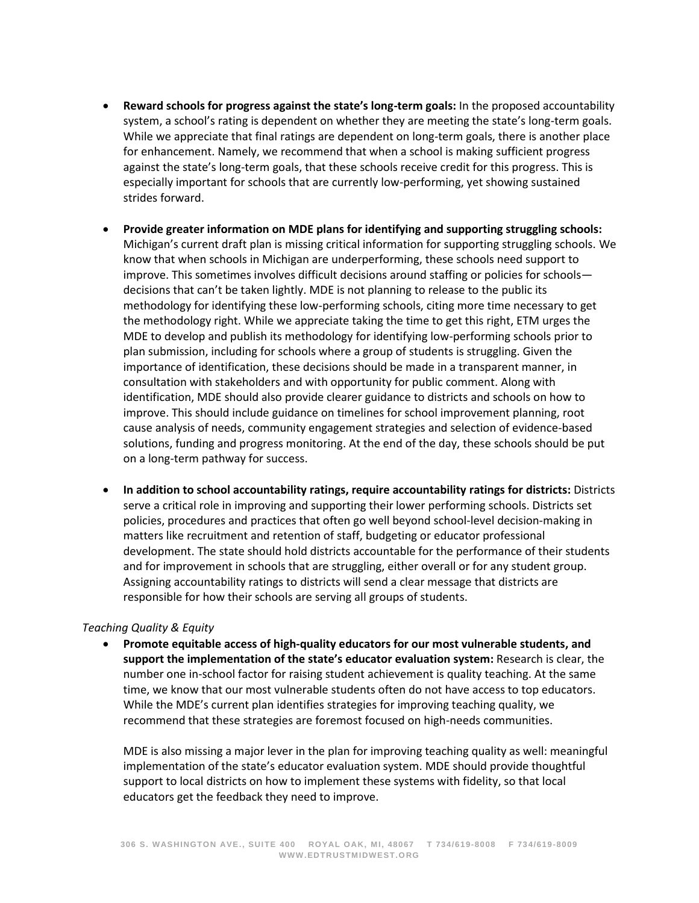- **Reward schools for progress against the state's long-term goals:** In the proposed accountability system, a school's rating is dependent on whether they are meeting the state's long-term goals. While we appreciate that final ratings are dependent on long-term goals, there is another place for enhancement. Namely, we recommend that when a school is making sufficient progress against the state's long-term goals, that these schools receive credit for this progress. This is especially important for schools that are currently low-performing, yet showing sustained strides forward.
- **Provide greater information on MDE plans for identifying and supporting struggling schools:**  Michigan's current draft plan is missing critical information for supporting struggling schools. We know that when schools in Michigan are underperforming, these schools need support to improve. This sometimes involves difficult decisions around staffing or policies for schools decisions that can't be taken lightly. MDE is not planning to release to the public its methodology for identifying these low-performing schools, citing more time necessary to get the methodology right. While we appreciate taking the time to get this right, ETM urges the MDE to develop and publish its methodology for identifying low-performing schools prior to plan submission, including for schools where a group of students is struggling. Given the importance of identification, these decisions should be made in a transparent manner, in consultation with stakeholders and with opportunity for public comment. Along with identification, MDE should also provide clearer guidance to districts and schools on how to improve. This should include guidance on timelines for school improvement planning, root cause analysis of needs, community engagement strategies and selection of evidence-based solutions, funding and progress monitoring. At the end of the day, these schools should be put on a long-term pathway for success.
- **In addition to school accountability ratings, require accountability ratings for districts:** Districts serve a critical role in improving and supporting their lower performing schools. Districts set policies, procedures and practices that often go well beyond school-level decision-making in matters like recruitment and retention of staff, budgeting or educator professional development. The state should hold districts accountable for the performance of their students and for improvement in schools that are struggling, either overall or for any student group. Assigning accountability ratings to districts will send a clear message that districts are responsible for how their schools are serving all groups of students.

## *Teaching Quality & Equity*

 **Promote equitable access of high-quality educators for our most vulnerable students, and support the implementation of the state's educator evaluation system:** Research is clear, the number one in-school factor for raising student achievement is quality teaching. At the same time, we know that our most vulnerable students often do not have access to top educators. While the MDE's current plan identifies strategies for improving teaching quality, we recommend that these strategies are foremost focused on high-needs communities.

MDE is also missing a major lever in the plan for improving teaching quality as well: meaningful implementation of the state's educator evaluation system. MDE should provide thoughtful support to local districts on how to implement these systems with fidelity, so that local educators get the feedback they need to improve.